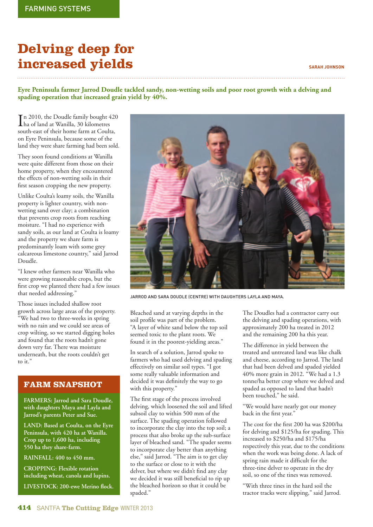## **Delving deep for increased yields**

**SARAH JOHNSON**

## **Eyre Peninsula farmer Jarrod Doudle tackled sandy, non-wetting soils and poor root growth with a delving and spading operation that increased grain yield by 40%.**

In 2010, the Doudle family bought 420<br>ha of land at Wanilla, 30 kilometres ha of land at Wanilla, 30 kilometres south-east of their home farm at Coulta, on Eyre Peninsula, because some of the land they were share farming had been sold.

They soon found conditions at Wanilla were quite different from those on their home property, when they encountered the effects of non-wetting soils in their first season cropping the new property.

Unlike Coulta's loamy soils, the Wanilla property is lighter country, with nonwetting sand over clay; a combination that prevents crop roots from reaching moisture. "I had no experience with sandy soils, as our land at Coulta is loamy and the property we share farm is predominantly loam with some grey calcareous limestone country," said Jarrod Doudle.

"I knew other farmers near Wanilla who were growing reasonable crops, but the first crop we planted there had a few issues that needed addressing."

Those issues included shallow root growth across large areas of the property. "We had two to three-weeks in spring with no rain and we could see areas of crop wilting, so we started digging holes and found that the roots hadn't gone down very far. There was moisture underneath, but the roots couldn't get to it."

## **FARM SNAPSHOT**

**FARMERS: Jarrod and Sara Doudle, with daughters Maya and Layla and Jarrod's parents Peter and Sue.**

**LAND: Based at Coulta, on the Eyre Peninsula, with 420 ha at Wanilla. Crop up to 1,600 ha, including 550 ha they share-farm.** 

**RAINFALL: 400 to 450 mm.**

**CROPPING: Flexible rotation including wheat, canola and lupins.**

**LIVESTOCK: 200-ewe Merino flock.** 



JARROD AND SARA DOUDLE (CENTRE) WITH DAUGHTERS LAYLA AND MAYA.

Bleached sand at varying depths in the soil profile was part of the problem. "A layer of white sand below the top soil seemed toxic to the plant roots. We found it in the poorest-yielding areas."

In search of a solution, Jarrod spoke to farmers who had used delving and spading effectively on similar soil types. "I got some really valuable information and decided it was definitely the way to go with this property."

The first stage of the process involved delving, which loosened the soil and lifted subsoil clay to within 500 mm of the surface. The spading operation followed to incorporate the clay into the top soil; a process that also broke up the sub-surface layer of bleached sand. "The spader seems to incorporate clay better than anything else," said Jarrod. "The aim is to get clay to the surface or close to it with the delver, but where we didn't find any clay we decided it was still beneficial to rip up the bleached horizon so that it could be spaded."

The Doudles had a contractor carry out the delving and spading operations, with approximately 200 ha treated in 2012 and the remaining 200 ha this year.

The difference in yield between the treated and untreated land was like chalk and cheese, according to Jarrod. The land that had been delved and spaded yielded 40% more grain in 2012. "We had a 1.3 tonne/ha better crop where we delved and spaded as opposed to land that hadn't been touched," he said.

"We would have nearly got our money back in the first year."

The cost for the first 200 ha was \$200/ha for delving and \$125/ha for spading. This increased to \$250/ha and \$175/ha respectively this year, due to the conditions when the work was being done. A lack of spring rain made it difficult for the three-tine delver to operate in the dry soil, so one of the tines was removed.

"With three tines in the hard soil the tractor tracks were slipping," said Jarrod.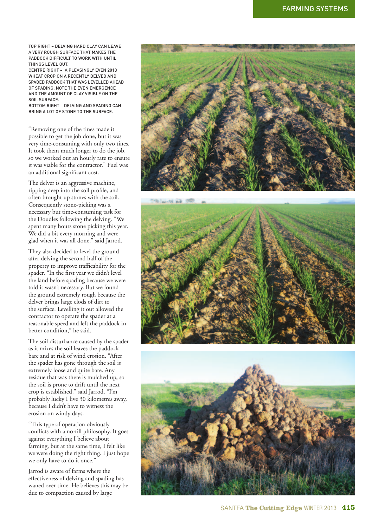TOP RIGHT – DELVING HARD CLAY CAN LEAVE A VERY ROUGH SURFACE THAT MAKES THE PADDOCK DIFFICULT TO WORK WITH UNTIL THINGS LEVEL OUT.

CENTRE RIGHT – A PLEASINGLY EVEN 2013 WHEAT CROP ON A RECENTLY DELVED AND SPADED PADDOCK THAT WAS LEVELLED AHEAD OF SPADING. NOTE THE EVEN EMERGENCE AND THE AMOUNT OF CLAY VISIBLE ON THE SOIL SURFACE.

BOTTOM RIGHT – DELVING AND SPADING CAN BRING A LOT OF STONE TO THE SURFACE.

"Removing one of the tines made it possible to get the job done, but it was very time-consuming with only two tines. It took them much longer to do the job, so we worked out an hourly rate to ensure it was viable for the contractor." Fuel was an additional significant cost.

The delver is an aggressive machine, ripping deep into the soil profile, and often brought up stones with the soil. Consequently stone-picking was a necessary but time-consuming task for the Doudles following the delving. "We spent many hours stone picking this year. We did a bit every morning and were glad when it was all done," said Jarrod.

They also decided to level the ground after delving the second half of the property to improve trafficability for the spader. "In the first year we didn't level the land before spading because we were told it wasn't necessary. But we found the ground extremely rough because the delver brings large clods of dirt to the surface. Levelling it out allowed the contractor to operate the spader at a reasonable speed and left the paddock in better condition," he said.

The soil disturbance caused by the spader as it mixes the soil leaves the paddock bare and at risk of wind erosion. "After the spader has gone through the soil is extremely loose and quite bare. Any residue that was there is mulched up, so the soil is prone to drift until the next crop is established," said Jarrod. "I'm probably lucky I live 30 kilometres away, because I didn't have to witness the erosion on windy days.

"This type of operation obviously conflicts with a no-till philosophy. It goes against everything I believe about farming, but at the same time, I felt like we were doing the right thing. I just hope we only have to do it once."

Jarrod is aware of farms where the effectiveness of delving and spading has waned over time. He believes this may be due to compaction caused by large